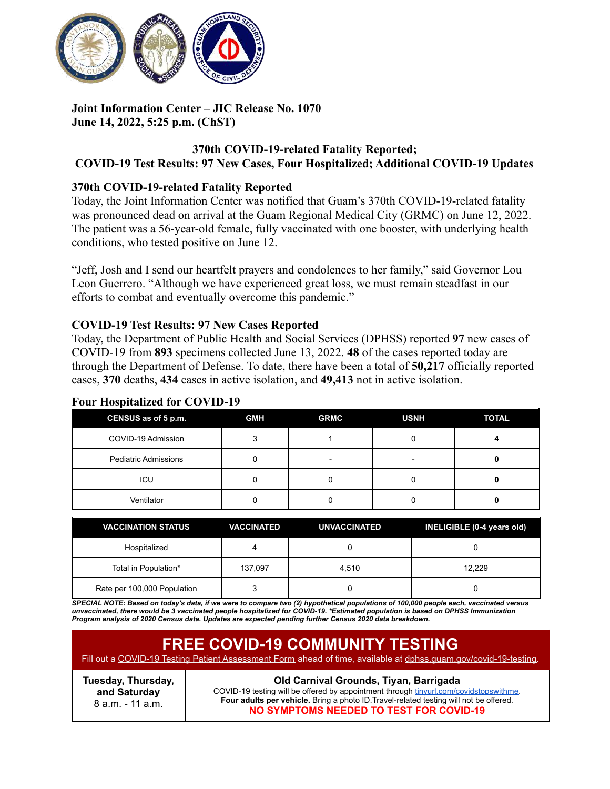

## **Joint Information Center – JIC Release No. 1070 June 14, 2022, 5:25 p.m. (ChST)**

#### **370th COVID-19-related Fatality Reported; COVID-19 Test Results: 97 New Cases, Four Hospitalized; Additional COVID-19 Updates**

## **370th COVID-19-related Fatality Reported**

Today, the Joint Information Center was notified that Guam's 370th COVID-19-related fatality was pronounced dead on arrival at the Guam Regional Medical City (GRMC) on June 12, 2022. The patient was a 56-year-old female, fully vaccinated with one booster, with underlying health conditions, who tested positive on June 12.

"Jeff, Josh and I send our heartfelt prayers and condolences to her family," said Governor Lou Leon Guerrero. "Although we have experienced great loss, we must remain steadfast in our efforts to combat and eventually overcome this pandemic."

## **COVID-19 Test Results: 97 New Cases Reported**

Today, the Department of Public Health and Social Services (DPHSS) reported **97** new cases of COVID-19 from **893** specimens collected June 13, 2022. **48** of the cases reported today are through the Department of Defense. To date, there have been a total of **50,217** officially reported cases, **370** deaths, **434** cases in active isolation, and **49,413** not in active isolation.

## **Four Hospitalized for COVID-19**

| CENSUS as of 5 p.m.         | <b>GMH</b> | <b>GRMC</b> | <b>USNH</b> | <b>TOTAL</b> |
|-----------------------------|------------|-------------|-------------|--------------|
| COVID-19 Admission          |            |             | C           |              |
| <b>Pediatric Admissions</b> |            | -           | -           |              |
| ICU                         |            |             |             |              |
| Ventilator                  |            |             |             |              |

| <b>VACCINATION STATUS</b>   | <b>VACCINATED</b> | <b>UNVACCINATED</b> | INELIGIBLE (0-4 years old) |
|-----------------------------|-------------------|---------------------|----------------------------|
| Hospitalized                |                   |                     |                            |
| Total in Population*        | 137.097           | 4.510               | 12.229                     |
| Rate per 100,000 Population |                   |                     |                            |

SPECIAL NOTE: Based on today's data, if we were to compare two (2) hypothetical populations of 100,000 people each, vaccinated versus unvaccinated, there would be 3 vaccinated people hospitalized for COVID-19. \*Estimated population is based on DPHSS Immunization *Program analysis of 2020 Census data. Updates are expected pending further Census 2020 data breakdown.*

| <b>FREE COVID-19 COMMUNITY TESTING</b><br>Fill out a COVID-19 Testing Patient Assessment Form ahead of time, available at dphss.quam.gov/covid-19-testing. |                                                                                                                                                                                                                                                                      |
|------------------------------------------------------------------------------------------------------------------------------------------------------------|----------------------------------------------------------------------------------------------------------------------------------------------------------------------------------------------------------------------------------------------------------------------|
| Tuesday, Thursday,<br>and Saturday<br>8 a.m. - 11 a.m.                                                                                                     | Old Carnival Grounds, Tiyan, Barrigada<br>COVID-19 testing will be offered by appointment through tinyurl.com/covidstopswithme.<br>Four adults per vehicle. Bring a photo ID. Travel-related testing will not be offered.<br>NO SYMPTOMS NEEDED TO TEST FOR COVID-19 |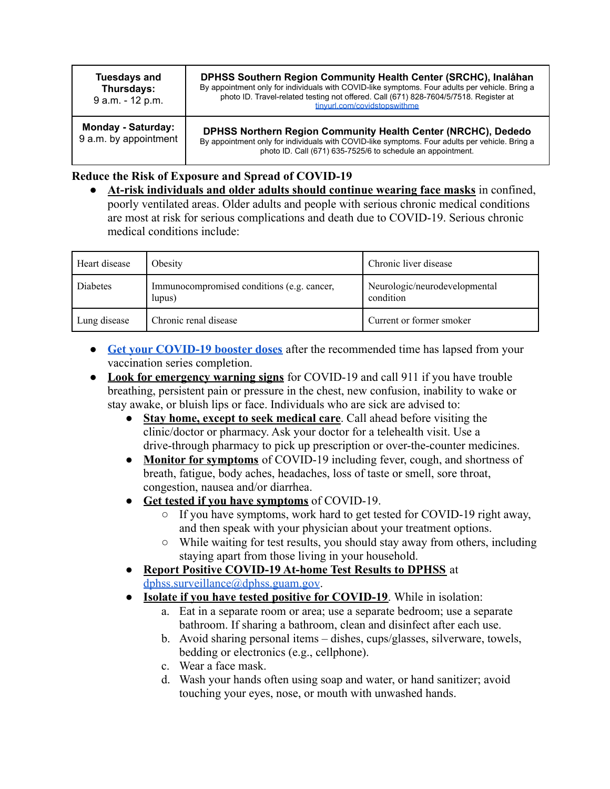| <b>Tuesdays and</b><br>Thursdays:<br>9 a.m. - 12 p.m. | DPHSS Southern Region Community Health Center (SRCHC), Inalåhan<br>By appointment only for individuals with COVID-like symptoms. Four adults per vehicle. Bring a<br>photo ID. Travel-related testing not offered. Call (671) 828-7604/5/7518. Register at<br>tinvurl.com/covidstopswithme |
|-------------------------------------------------------|--------------------------------------------------------------------------------------------------------------------------------------------------------------------------------------------------------------------------------------------------------------------------------------------|
| <b>Monday - Saturday:</b><br>9 a.m. by appointment    | DPHSS Northern Region Community Health Center (NRCHC), Dededo<br>By appointment only for individuals with COVID-like symptoms. Four adults per vehicle. Bring a<br>photo ID. Call (671) 635-7525/6 to schedule an appointment.                                                             |

## **Reduce the Risk of Exposure and Spread of COVID-19**

● **At-risk individuals and older adults should continue wearing face masks** in confined, poorly ventilated areas. Older adults and people with serious chronic medical conditions are most at risk for serious complications and death due to COVID-19. Serious chronic medical conditions include:

| Heart disease | Obesity                                              | Chronic liver disease                      |
|---------------|------------------------------------------------------|--------------------------------------------|
| Diabetes      | Immunocompromised conditions (e.g. cancer,<br>lupus) | Neurologic/neurodevelopmental<br>condition |
| Lung disease  | Chronic renal disease                                | Current or former smoker                   |

- **[Get your COVID-19 booster doses](http://cdc.gov/coronavirus/2019-ncov/vaccines/booster-shot.html)** after the recommended time has lapsed from your vaccination series completion.
- **Look for emergency warning signs** for COVID-19 and call 911 if you have trouble breathing, persistent pain or pressure in the chest, new confusion, inability to wake or stay awake, or bluish lips or face. Individuals who are sick are advised to:
	- **Stay home, except to seek medical care**. Call ahead before visiting the clinic/doctor or pharmacy. Ask your doctor for a telehealth visit. Use a drive-through pharmacy to pick up prescription or over-the-counter medicines.
	- **Monitor for symptoms** of COVID-19 including fever, cough, and shortness of breath, fatigue, body aches, headaches, loss of taste or smell, sore throat, congestion, nausea and/or diarrhea.
	- **Get tested if you have symptoms** of COVID-19.
		- If you have symptoms, work hard to get tested for COVID-19 right away, and then speak with your physician about your treatment options.
		- While waiting for test results, you should stay away from others, including staying apart from those living in your household.
	- **Report Positive COVID-19 At-home Test Results to DPHSS** at [dphss.surveillance@dphss.guam.gov](mailto:dphss.surveillance@dphss.guam.gov).
	- **Isolate if you have tested positive for COVID-19**. While in isolation:
		- a. Eat in a separate room or area; use a separate bedroom; use a separate bathroom. If sharing a bathroom, clean and disinfect after each use.
		- b. Avoid sharing personal items dishes, cups/glasses, silverware, towels, bedding or electronics (e.g., cellphone).
		- c. Wear a face mask.
		- d. Wash your hands often using soap and water, or hand sanitizer; avoid touching your eyes, nose, or mouth with unwashed hands.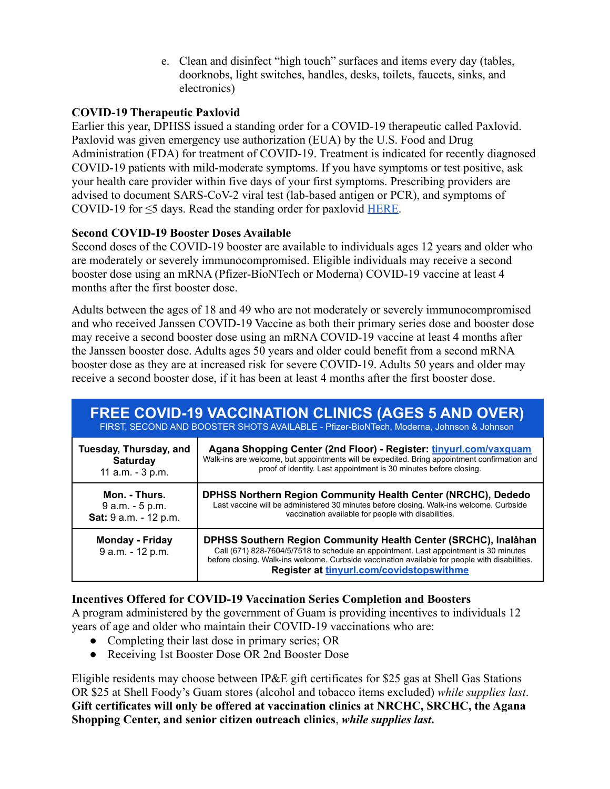e. Clean and disinfect "high touch" surfaces and items every day (tables, doorknobs, light switches, handles, desks, toilets, faucets, sinks, and electronics)

# **COVID-19 Therapeutic Paxlovid**

Earlier this year, DPHSS issued a standing order for a COVID-19 therapeutic called Paxlovid. Paxlovid was given emergency use authorization (EUA) by the U.S. Food and Drug Administration (FDA) for treatment of COVID-19. Treatment is indicated for recently diagnosed COVID-19 patients with mild-moderate symptoms. If you have symptoms or test positive, ask your health care provider within five days of your first symptoms. Prescribing providers are advised to document SARS-CoV-2 viral test (lab-based antigen or PCR), and symptoms of COVID-19 for  $\leq$ 5 days. Read the standing order for paxlovid [HERE](https://dphss.guam.gov/wp-content/uploads/2022/02/Standing-Order-of-Paxlovid-signed-dated-48pg-1.pdf).

## **Second COVID-19 Booster Doses Available**

Second doses of the COVID-19 booster are available to individuals ages 12 years and older who are moderately or severely immunocompromised. Eligible individuals may receive a second booster dose using an mRNA (Pfizer-BioNTech or Moderna) COVID-19 vaccine at least 4 months after the first booster dose.

Adults between the ages of 18 and 49 who are not moderately or severely immunocompromised and who received Janssen COVID-19 Vaccine as both their primary series dose and booster dose may receive a second booster dose using an mRNA COVID-19 vaccine at least 4 months after the Janssen booster dose. Adults ages 50 years and older could benefit from a second mRNA booster dose as they are at increased risk for severe COVID-19. Adults 50 years and older may receive a second booster dose, if it has been at least 4 months after the first booster dose.

| <b>FREE COVID-19 VACCINATION CLINICS (AGES 5 AND OVER)</b><br>FIRST, SECOND AND BOOSTER SHOTS AVAILABLE - Pfizer-BioNTech, Moderna, Johnson & Johnson |                                                                                                                                                                                                                                                                                                        |  |
|-------------------------------------------------------------------------------------------------------------------------------------------------------|--------------------------------------------------------------------------------------------------------------------------------------------------------------------------------------------------------------------------------------------------------------------------------------------------------|--|
| Tuesday, Thursday, and                                                                                                                                | Agana Shopping Center (2nd Floor) - Register: tinyurl.com/vaxquam                                                                                                                                                                                                                                      |  |
| <b>Saturday</b>                                                                                                                                       | Walk-ins are welcome, but appointments will be expedited. Bring appointment confirmation and                                                                                                                                                                                                           |  |
| 11 a.m. - 3 p.m.                                                                                                                                      | proof of identity. Last appointment is 30 minutes before closing.                                                                                                                                                                                                                                      |  |
| Mon. - Thurs.                                                                                                                                         | DPHSS Northern Region Community Health Center (NRCHC), Dededo                                                                                                                                                                                                                                          |  |
| 9 a.m. - 5 p.m.                                                                                                                                       | Last vaccine will be administered 30 minutes before closing. Walk-ins welcome. Curbside                                                                                                                                                                                                                |  |
| Sat: 9 a.m. - 12 p.m.                                                                                                                                 | vaccination available for people with disabilities.                                                                                                                                                                                                                                                    |  |
| <b>Monday - Friday</b><br>9 a.m. - 12 p.m.                                                                                                            | DPHSS Southern Region Community Health Center (SRCHC), Inalåhan<br>Call (671) 828-7604/5/7518 to schedule an appointment. Last appointment is 30 minutes<br>before closing. Walk-ins welcome. Curbside vaccination available for people with disabilities.<br>Register at tinyurl.com/covidstopswithme |  |

## **Incentives Offered for COVID-19 Vaccination Series Completion and Boosters**

A program administered by the government of Guam is providing incentives to individuals 12 years of age and older who maintain their COVID-19 vaccinations who are:

- Completing their last dose in primary series; OR
- Receiving 1st Booster Dose OR 2nd Booster Dose

Eligible residents may choose between IP&E gift certificates for \$25 gas at Shell Gas Stations OR \$25 at Shell Foody's Guam stores (alcohol and tobacco items excluded) *while supplies last*. **Gift certificates will only be offered at vaccination clinics at NRCHC, SRCHC, the Agana Shopping Center, and senior citizen outreach clinics**, *while supplies last***.**